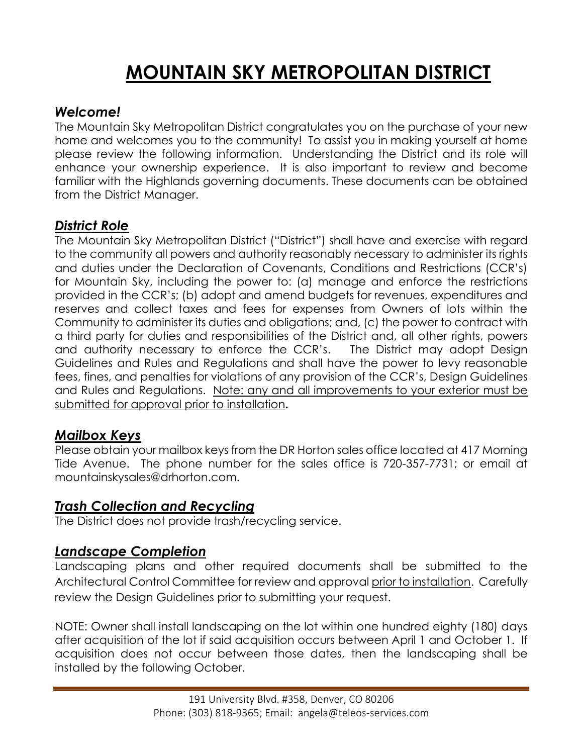# **MOUNTAIN SKY METROPOLITAN DISTRICT**

# *Welcome!*

The Mountain Sky Metropolitan District congratulates you on the purchase of your new home and welcomes you to the community! To assist you in making yourself at home please review the following information. Understanding the District and its role will enhance your ownership experience. It is also important to review and become familiar with the Highlands governing documents. These documents can be obtained from the District Manager.

# *District Role*

The Mountain Sky Metropolitan District ("District") shall have and exercise with regard to the community all powers and authority reasonably necessary to administer its rights and duties under the Declaration of Covenants, Conditions and Restrictions (CCR's) for Mountain Sky, including the power to: (a) manage and enforce the restrictions provided in the CCR's; (b) adopt and amend budgets for revenues, expenditures and reserves and collect taxes and fees for expenses from Owners of lots within the Community to administer its duties and obligations; and, (c) the power to contract with a third party for duties and responsibilities of the District and, all other rights, powers and authority necessary to enforce the CCR's. The District may adopt Design Guidelines and Rules and Regulations and shall have the power to levy reasonable fees, fines, and penalties for violations of any provision of the CCR's, Design Guidelines and Rules and Regulations. Note: any and all improvements to your exterior must be submitted for approval prior to installation**.** 

# *Mailbox Keys*

Please obtain your mailbox keys from the DR Horton sales office located at 417 Morning Tide Avenue. The phone number for the sales office is 720-357-7731; or email at mountainskysales@drhorton.com.

## *Trash Collection and Recycling*

The District does not provide trash/recycling service.

# *Landscape Completion*

Landscaping plans and other required documents shall be submitted to the Architectural Control Committee for review and approval prior to installation. Carefully review the Design Guidelines prior to submitting your request.

NOTE: Owner shall install landscaping on the lot within one hundred eighty (180) days after acquisition of the lot if said acquisition occurs between April 1 and October 1. If acquisition does not occur between those dates, then the landscaping shall be installed by the following October.